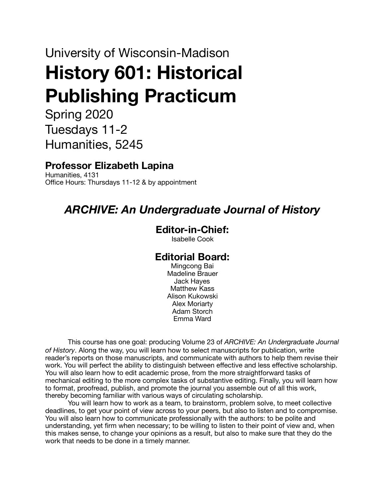# University of Wisconsin-Madison **History 601: Historical Publishing Practicum**

Spring 2020 Tuesdays 11-2 Humanities, 5245

# **Professor Elizabeth Lapina**

Humanities, 4131 Office Hours: Thursdays 11-12 & by appointment

# *ARCHIVE: An Undergraduate Journal of History*

#### **Editor-in-Chief:**

Isabelle Cook

#### **Editorial Board:**

Mingcong Bai Madeline Brauer Jack Hayes Matthew Kass Alison Kukowski Alex Moriarty Adam Storch Emma Ward

This course has one goal: producing Volume 23 of *ARCHIVE: An Undergraduate Journal of History*. Along the way, you will learn how to select manuscripts for publication, write reader's reports on those manuscripts, and communicate with authors to help them revise their work. You will perfect the ability to distinguish between effective and less effective scholarship. You will also learn how to edit academic prose, from the more straightforward tasks of mechanical editing to the more complex tasks of substantive editing. Finally, you will learn how to format, proofread, publish, and promote the journal you assemble out of all this work, thereby becoming familiar with various ways of circulating scholarship.

You will learn how to work as a team, to brainstorm, problem solve, to meet collective deadlines, to get your point of view across to your peers, but also to listen and to compromise. You will also learn how to communicate professionally with the authors: to be polite and understanding, yet firm when necessary; to be willing to listen to their point of view and, when this makes sense, to change your opinions as a result, but also to make sure that they do the work that needs to be done in a timely manner.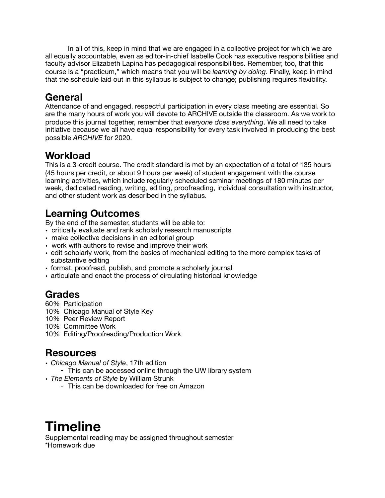In all of this, keep in mind that we are engaged in a collective project for which we are all equally accountable, even as editor-in-chief Isabelle Cook has executive responsibilities and faculty advisor Elizabeth Lapina has pedagogical responsibilities. Remember, too, that this course is a "practicum," which means that you will be *learning by doing*. Finally, keep in mind that the schedule laid out in this syllabus is subject to change; publishing requires flexibility.

# **General**

Attendance of and engaged, respectful participation in every class meeting are essential. So are the many hours of work you will devote to ARCHIVE outside the classroom. As we work to produce this journal together, remember that *everyone does everything*. We all need to take initiative because we all have equal responsibility for every task involved in producing the best possible *ARCHIVE* for 2020.

#### **Workload**

This is a 3-credit course. The credit standard is met by an expectation of a total of 135 hours (45 hours per credit, or about 9 hours per week) of student engagement with the course learning activities, which include regularly scheduled seminar meetings of 180 minutes per week, dedicated reading, writing, editing, proofreading, individual consultation with instructor, and other student work as described in the syllabus.

# **Learning Outcomes**

By the end of the semester, students will be able to:

- critically evaluate and rank scholarly research manuscripts
- make collective decisions in an editorial group
- work with authors to revise and improve their work
- edit scholarly work, from the basics of mechanical editing to the more complex tasks of substantive editing
- format, proofread, publish, and promote a scholarly journal
- articulate and enact the process of circulating historical knowledge

#### **Grades**

- 60% Participation
- 10% Chicago Manual of Style Key
- 10% Peer Review Report
- 10% Committee Work
- 10% Editing/Proofreading/Production Work

#### **Resources**

- *Chicago Manual of Style*, 17th edition
- This can be accessed online through the UW library system
- *The Elements of Style* by William Strunk
	- This can be downloaded for free on Amazon

# **Timeline**

Supplemental reading may be assigned throughout semester \*Homework due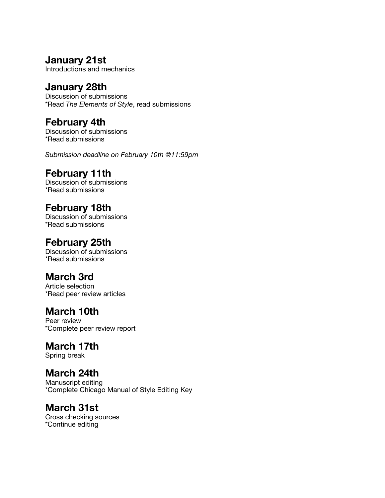#### **January 21st**

Introductions and mechanics

#### **January 28th**

Discussion of submissions \*Read *The Elements of Style*, read submissions

#### **February 4th**

Discussion of submissions \*Read submissions

*Submission deadline on February 10th @11:59pm* 

#### **February 11th**

Discussion of submissions \*Read submissions

#### **February 18th**

Discussion of submissions \*Read submissions

#### **February 25th**

Discussion of submissions \*Read submissions

#### **March 3rd**

Article selection \*Read peer review articles

#### **March 10th**

Peer review \*Complete peer review report

#### **March 17th**

Spring break

#### **March 24th**

Manuscript editing \*Complete Chicago Manual of Style Editing Key

#### **March 31st**

Cross checking sources \*Continue editing